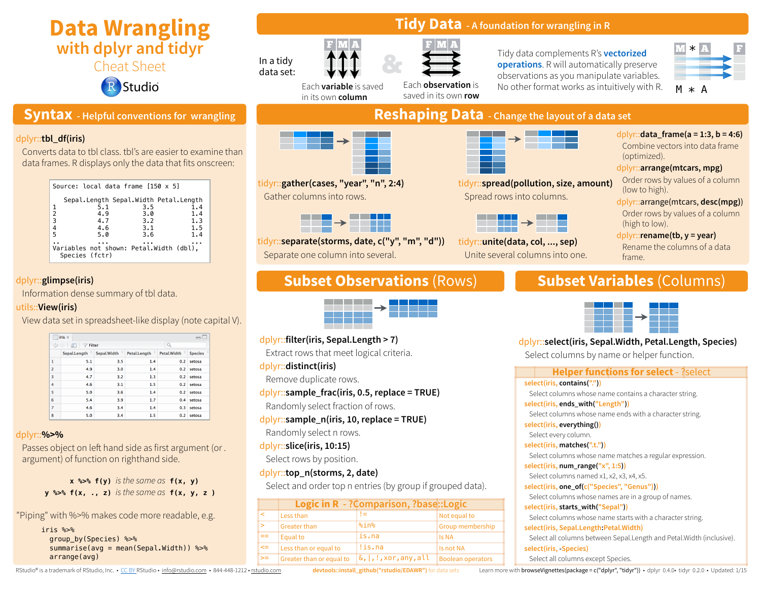# **Data Wrangling with dplyr and tidyr**

Cheat Sheet

Studio

# **Syntax - Helpful conventions for wrangling**

#### dplyr::**tbl\_df(iris)**

Converts data to tbl class. tbl's are easier to examine than data frames. R displays only the data that fits onscreen:

| Source: local data frame $[150 \times 5]$                 |     |     |
|-----------------------------------------------------------|-----|-----|
| Sepal.Length Sepal.Width Petal.Length                     |     |     |
| 5.1                                                       | 3.5 | 1.4 |
| 2<br>4.9                                                  | 3.0 | 1.4 |
| 3<br>4.7                                                  | 3.2 | 1.3 |
| 4<br>4.6                                                  | 3.1 | 1.5 |
| 5<br>5.0                                                  | 3.6 | 1.4 |
|                                                           |     |     |
| Variables not shown: Petal.Width (dbl),<br>Species (fctr) |     |     |

### dplyr::**glimpse(iris)**

Information dense summary of tbl data.

#### utils::**View(iris)**

View data set in spreadsheet-like display (note capital V).

| ▦              | iris *                  |                  |                        |               | — L            |
|----------------|-------------------------|------------------|------------------------|---------------|----------------|
|                | $\nabla$ Filter<br>क्षा |                  |                        |               |                |
|                | Sepal.Length            | ÷<br>Sepal.Width | Petal.Length $\hat{=}$ | Petal.Width = | <b>Species</b> |
| $\mathbf{1}$   | 5.1                     | 3.5              | 1.4                    | 0.2           | setosa         |
| $\overline{2}$ | 4.9                     | 3.0              | 1.4                    | 0.2           | setosa         |
| 3              | 4.7                     | 3.2              | 1.3                    | 0.2           | setosa         |
| 4              | 4.6                     | 3.1              | 1.5                    | 0.2           | setosa         |
| 5              | 5.0                     | 3.6              | 1.4                    | 0.2           | setosa         |
| 6              | 5.4                     | 3.9              | 1.7                    | 0.4           | setosa         |
| $\overline{z}$ | 4.6                     | 3.4              | 1.4                    | 0.3           | setosa         |
| 8              | 5.0                     | 3.4              | 1.5                    | 0.2           | setosa         |

#### dplyr::**%>%**

Passes object on left hand side as first argument (or . argument) of function on righthand side.

> **x %>% f(y)** *is the same as* **f(x, y) y %>% f(x, ., z)** *is the same as* **f(x, y, z )**

"Piping" with %>% makes code more readable, e.g.

iris %>% group\_by(Species) %>% summarise(avg = mean(Sepal.Width)) %>% arrange(avg)

# **Tidy Data - A foundation for wrangling in R**



F  $|{\bf M}|$   ${\bf A}$ 

In a tidy

Each **variable** is saved in its own **column**

tidyr::**gather(cases, "year", "n", 2:4)**

Separate one column into several.

dplyr::**filter(iris, Sepal.Length > 7)**

Randomly select fraction of rows.

dplyr::**distinct(iris)**

Remove duplicate rows.

Randomly select n rows.

Select rows by position.

dplyr::**top\_n(storms, 2, date)**

dplyr::**slice(iris, 10:15)**

Extract rows that meet logical criteria.

dplyr::**sample\_frac(iris, 0.5, replace = TRUE)**

dplyr::**sample\_n(iris, 10, replace = TRUE)**

tidyr::**separate(storms, date, c("y", "m", "d"))**

10<mark>05</mark><br>1100524) **w**wwA **water**<br>http://www.<br>http://www.<br>vs.

Gather columns into rows.

Each **observation** is saved in its own **row** Tidy data complements R's **vectorized operations**. R will automatically preserve observations as you manipulate variables. No other format works as intuitively with R.





**Reshaping Data - Change the layout of a data set**



tidyr::**spread(pollution, size, amount)** Spread rows into columns.



tidyr::**unite(data, col, ..., sep)** Unite several columns into one. 110007 **wwp. 11010097 11010097 451009 451009 451009 451009 451009 451009 451009 451009 451009 451009 451009 451009 451009 451009 451009 4510009 4510009 4510009 4510009 4510009 4510009 4510009 4510009 4510009 4510009 451009**  dplyr::**data\_frame(a = 1:3, b = 4:6)** Combine vectors into data frame (optimized). dplyr::**arrange(mtcars, mpg)**

- Order rows by values of a column (low to high).
- dplyr::arrange(mtcars, **desc(mpg)**)

Order rows by values of a column (high to low).

dplyr::**rename(tb, y = year)** Rename the columns of a data frame.

# **Subset Observations** (Rows) **Subset Variables** (Columns)



dplyr::**select(iris, Sepal.Width, Petal.Length, Species)**

Select columns by name or helper function.

| <b>Helper functions for select</b> - ?select                           |
|------------------------------------------------------------------------|
| select(iris, contains("."))                                            |
| Select columns whose name contains a character string.                 |
| select(iris, ends_with("Length"))                                      |
| Select columns whose name ends with a character string.                |
| select(iris, everything())                                             |
| Select every column.                                                   |
| select(iris, matches(".t."))                                           |
| Select columns whose name matches a regular expression.                |
| select(iris, num_range("x", 1:5))                                      |
| Select columns named x1, x2, x3, x4, x5.                               |
| select(iris, one_of(c("Species", "Genus")))                            |
| Select columns whose names are in a group of names.                    |
| select(iris, starts_with("Sepal"))                                     |
| Select columns whose name starts with a character string.              |
| select(iris, Sepal.Length: Petal. Width)                               |
| Select all columns between Sepal. Length and Petal. Width (inclusive). |
| select(iris, Species)                                                  |
| Select all columns except Species.                                     |

RStudio® is a trademark of RStudio, Inc. • [CC BY](https://creativecommons.org/licenses/by/4.0/) RStudio • [info@rstudio.com](mailto:info@rstudio.com) • 844-448-1212 • [rstudio.com](http://rstudio.com)

**devtools::install\_github("rstudio/EDAWR")** for data sets

Select and order top n entries (by group if grouped data).

> Greater than 8in% Group membership

**Logic in R - ?Comparison, ?base::Logic**

Greater than or equal to  $\|\delta_{I},\cdot\|$ ,  $\vee$  xor, any, all  $\|$  Boolean operators

< Less than != Not equal to

 $\equiv$  Equal to is.na Is NA  $\le$  Less than or equal to  $\le$  is. na

Learn more with browseVignettes(package = c("dplyr", "tidyr")) • dplyr 0.4.0• tidyr 0.2.0 • Updated: 1/15